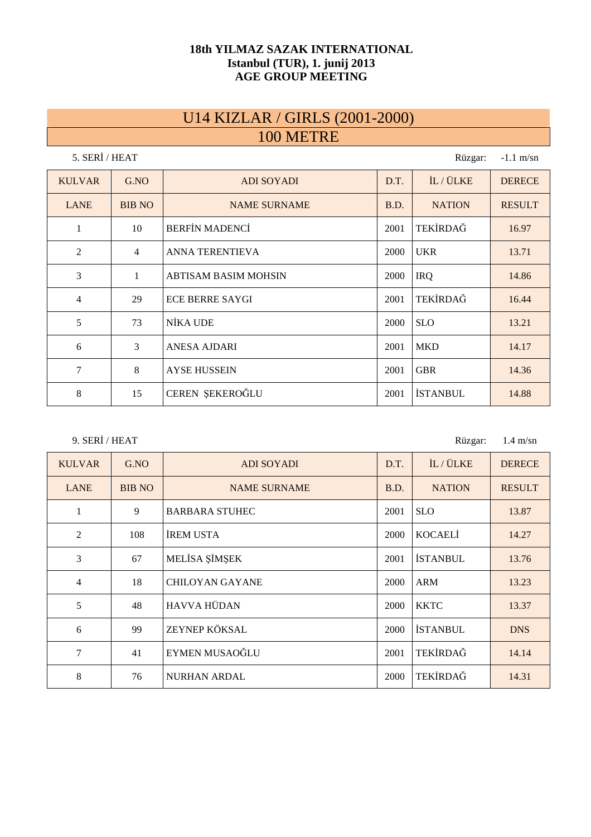#### **18th YILMAZ SAZAK INTERNATIONAL Istanbul (TUR), 1. junij 2013 AGE GROUP MEETING**

#### U14 KIZLAR / GIRLS (2001-2000) 100 METRE

| 5. SERİ / HEAT<br>Rüzgar:<br>$-1.1$ m/sn |                |                             |      |                 |               |  |  |
|------------------------------------------|----------------|-----------------------------|------|-----------------|---------------|--|--|
| <b>KULVAR</b>                            | G.NO           | <b>ADI SOYADI</b>           | D.T. | IL / ÜLKE       | <b>DERECE</b> |  |  |
| <b>LANE</b>                              | <b>BIB NO</b>  | <b>NAME SURNAME</b>         | B.D. | <b>NATION</b>   | <b>RESULT</b> |  |  |
| 1                                        | 10             | <b>BERFIN MADENCI</b>       | 2001 | TEKİRDAĞ        | 16.97         |  |  |
| 2                                        | $\overline{4}$ | <b>ANNA TERENTIEVA</b>      | 2000 | <b>UKR</b>      | 13.71         |  |  |
| 3                                        | 1              | <b>ABTISAM BASIM MOHSIN</b> | 2000 | <b>IRQ</b>      | 14.86         |  |  |
| $\overline{4}$                           | 29             | <b>ECE BERRE SAYGI</b>      | 2001 | TEKİRDAĞ        | 16.44         |  |  |
| 5                                        | 73             | NİKA UDE                    | 2000 | <b>SLO</b>      | 13.21         |  |  |
| 6                                        | 3              | <b>ANESA AJDARI</b>         | 2001 | <b>MKD</b>      | 14.17         |  |  |
| $\tau$                                   | 8              | <b>AYSE HUSSEIN</b>         | 2001 | <b>GBR</b>      | 14.36         |  |  |
| 8                                        | 15             | CEREN ŞEKEROĞLU             | 2001 | <b>İSTANBUL</b> | 14.88         |  |  |

9. SERİ / HEAT

Rüzgar: 1.4 m/sn

| <b>KULVAR</b> | G.NO          | <b>ADI SOYADI</b>                   | D.T.            | IL / ÜLKE       | <b>DERECE</b> |  |  |
|---------------|---------------|-------------------------------------|-----------------|-----------------|---------------|--|--|
| <b>LANE</b>   | <b>BIB NO</b> | <b>NAME SURNAME</b>                 | B.D.            | <b>NATION</b>   | <b>RESULT</b> |  |  |
|               | 9             | <b>BARBARA STUHEC</b>               | 2001            | <b>SLO</b>      | 13.87         |  |  |
| 2             | 108           | <b>IREM USTA</b><br>KOCAELI<br>2000 |                 |                 |               |  |  |
| 3             | 67            | MELİSA ŞİMŞEK                       | <b>İSTANBUL</b> | 13.76           |               |  |  |
| 4             | 18            | <b>CHILOYAN GAYANE</b>              | 2000            | <b>ARM</b>      | 13.23         |  |  |
| 5             | 48            | <b>HAVVA HÜDAN</b>                  | 2000            | <b>KKTC</b>     | 13.37         |  |  |
| 6             | 99            | ZEYNEP KÖKSAL                       | 2000            | <b>İSTANBUL</b> | <b>DNS</b>    |  |  |
| 7             | 41            | EYMEN MUSAOĞLU                      | 2001            | TEKİRDAĞ        | 14.14         |  |  |
| 8             | 76            | <b>NURHAN ARDAL</b>                 | 2000            | TEKİRDAĞ        | 14.31         |  |  |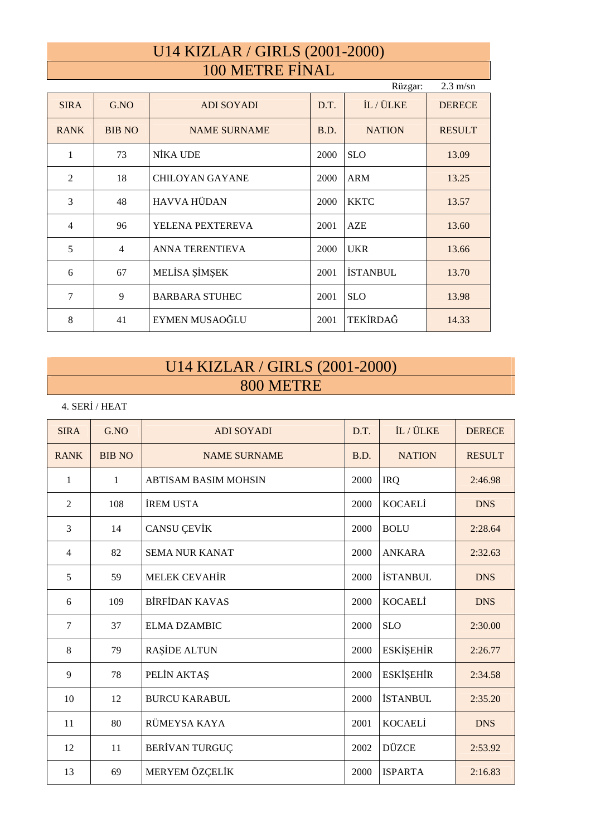# U14 KIZLAR / GIRLS (2001-2000) 100 METRE FİNAL

| $2.3 \text{ m/sn}$<br>Rüzgar: |                |                        |      |                 |               |  |  |  |
|-------------------------------|----------------|------------------------|------|-----------------|---------------|--|--|--|
| <b>SIRA</b>                   | G.NO           | <b>ADI SOYADI</b>      | D.T. | IL / ÜLKE       | <b>DERECE</b> |  |  |  |
| <b>RANK</b>                   | <b>BIB NO</b>  | <b>NAME SURNAME</b>    | B.D. | <b>NATION</b>   | <b>RESULT</b> |  |  |  |
| 1                             | 73             | NİKA UDE               | 2000 | <b>SLO</b>      | 13.09         |  |  |  |
| 2                             | 18             | <b>CHILOYAN GAYANE</b> | 2000 | <b>ARM</b>      | 13.25         |  |  |  |
| 3                             | 48             | <b>HAVVA HÜDAN</b>     | 2000 | <b>KKTC</b>     | 13.57         |  |  |  |
| $\overline{4}$                | 96             | YELENA PEXTEREVA       | 2001 | <b>AZE</b>      | 13.60         |  |  |  |
| 5                             | $\overline{4}$ | <b>ANNA TERENTIEVA</b> | 2000 | <b>UKR</b>      | 13.66         |  |  |  |
| 6                             | 67             | MELİSA ŞİMŞEK          | 2001 | <b>İSTANBUL</b> | 13.70         |  |  |  |
| 7                             | 9              | <b>BARBARA STUHEC</b>  | 2001 | <b>SLO</b>      | 13.98         |  |  |  |
| 8                             | 41             | EYMEN MUSAOĞLU         | 2001 | TEKİRDAĞ        | 14.33         |  |  |  |

## U14 KIZLAR / GIRLS (2001-2000) 800 METRE

4. SERİ / HEAT

| <b>SIRA</b>    | G.NO          | <b>ADI SOYADI</b>           | D.T. | IL / ÜLKE        | <b>DERECE</b> |
|----------------|---------------|-----------------------------|------|------------------|---------------|
| <b>RANK</b>    | <b>BIB NO</b> | <b>NAME SURNAME</b>         | B.D. | <b>NATION</b>    | <b>RESULT</b> |
| 1              | 1             | <b>ABTISAM BASIM MOHSIN</b> | 2000 | <b>IRQ</b>       | 2:46.98       |
| $\overline{2}$ | 108           | <b>İREM USTA</b>            | 2000 | <b>KOCAELI</b>   | <b>DNS</b>    |
| 3              | 14            | <b>CANSU ÇEVİK</b>          | 2000 | <b>BOLU</b>      | 2:28.64       |
| $\overline{4}$ | 82            | <b>SEMA NUR KANAT</b>       | 2000 | <b>ANKARA</b>    | 2:32.63       |
| 5              | 59            | <b>MELEK CEVAHIR</b>        | 2000 | <b>İSTANBUL</b>  | <b>DNS</b>    |
| 6              | 109           | <b>BİRFİDAN KAVAS</b>       | 2000 | <b>KOCAELI</b>   | <b>DNS</b>    |
| 7              | 37            | <b>ELMA DZAMBIC</b>         | 2000 | <b>SLO</b>       | 2:30.00       |
| 8              | 79            | <b>RAŞİDE ALTUN</b>         | 2000 | <b>ESKİŞEHİR</b> | 2:26.77       |
| 9              | 78            | PELİN AKTAŞ                 | 2000 | <b>ESKİŞEHİR</b> | 2:34.58       |
| 10             | 12            | <b>BURCU KARABUL</b>        | 2000 | <b>İSTANBUL</b>  | 2:35.20       |
| 11             | 80            | RÜMEYSA KAYA                | 2001 | <b>KOCAELI</b>   | <b>DNS</b>    |
| 12             | 11            | <b>BERİVAN TURGUÇ</b>       | 2002 | <b>DÜZCE</b>     | 2:53.92       |
| 13             | 69            | MERYEM ÖZÇELİK              | 2000 | <b>ISPARTA</b>   | 2:16.83       |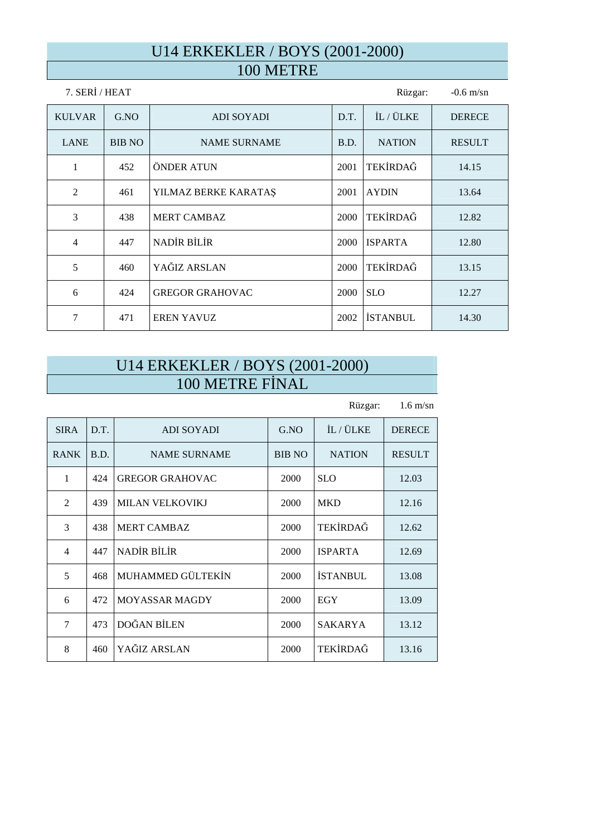#### U14 ERKEKLER / BOYS (2001-2000) 100 METRE

| 7. SERİ / HEAT | Rüzgar:       | $-0.6$ m/sn            |      |                 |               |
|----------------|---------------|------------------------|------|-----------------|---------------|
| <b>KULVAR</b>  | G.NO          | <b>ADI SOYADI</b>      | D.T. | İL / ÜLKE       | <b>DERECE</b> |
| <b>LANE</b>    | <b>BIB NO</b> | <b>NAME SURNAME</b>    | B.D. | <b>NATION</b>   | <b>RESULT</b> |
| $\mathbf{1}$   | 452           | ÖNDER ATUN             | 2001 | TEKİRDAĞ        | 14.15         |
| 2              | 461           | YILMAZ BERKE KARATAŞ   | 2001 | <b>AYDIN</b>    | 13.64         |
| 3              | 438           | <b>MERT CAMBAZ</b>     | 2000 | TEKİRDAĞ        | 12.82         |
| $\overline{4}$ | 447           | <b>NADİR BİLİR</b>     | 2000 | <b>ISPARTA</b>  | 12.80         |
| 5              | 460           | YAĞIZ ARSLAN           | 2000 | TEKİRDAĞ        | 13.15         |
| 6              | 424           | <b>GREGOR GRAHOVAC</b> | 2000 | <b>SLO</b>      | 12.27         |
| 7              | 471           | <b>EREN YAVUZ</b>      | 2002 | <b>İSTANBUL</b> | 14.30         |

## U14 ERKEKLER / BOYS (2001-2000) 100 METRE FİNAL

Rüzgar: 1.6 m/sn SIRA D.T. ADI SOYADI G.NO LIL/ÜLKE DERECE RANK B.D. NAME SURNAME BIB NO NATION RESULT 1 | 424 | GREGOR GRAHOVAC | 2000 | SLO | 12.03 2 439 MILAN VELKOVIKJ 2000 MKD 12.16 3 438 MERT CAMBAZ 2000 TEKİRDAĞ 12.62 4 447 NADİR BİLİR 2000 ISPARTA 12.69 5 468 MUHAMMED GÜLTEKİN 2000 İSTANBUL 13.08 6 | 472 | MOYASSAR MAGDY | 2000 | EGY | 13.09 7 | 473 | DOĞAN BİLEN | 2000 | SAKARYA | 13.12 8 460 YAĞIZ ARSLAN 2000 TEKİRDAĞ 13.16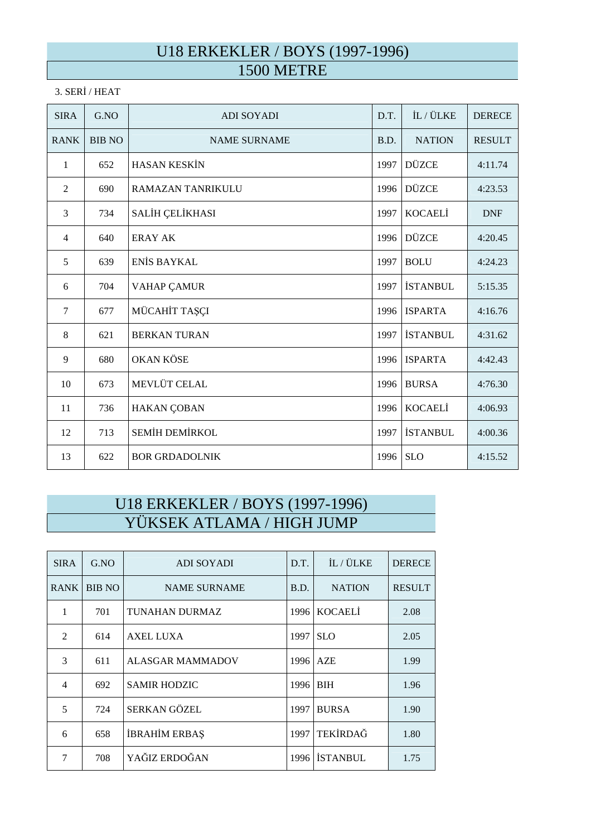#### U18 ERKEKLER / BOYS (1997-1996) 1500 METRE

#### 3. SERİ / HEAT

| <b>SIRA</b>    | G.NO          | <b>ADI SOYADI</b>        | D.T. | İL / ÜLKE       | <b>DERECE</b> |
|----------------|---------------|--------------------------|------|-----------------|---------------|
| <b>RANK</b>    | <b>BIB NO</b> | <b>NAME SURNAME</b>      | B.D. | <b>NATION</b>   | <b>RESULT</b> |
| 1              | 652           | <b>HASAN KESKİN</b>      | 1997 | <b>DÜZCE</b>    | 4:11.74       |
| $\overline{2}$ | 690           | <b>RAMAZAN TANRIKULU</b> | 1996 | <b>DÜZCE</b>    | 4:23.53       |
| 3              | 734           | SALİH ÇELİKHASI          | 1997 | <b>KOCAELI</b>  | <b>DNF</b>    |
| $\overline{4}$ | 640           | <b>ERAY AK</b>           | 1996 | <b>DÜZCE</b>    | 4:20.45       |
| 5              | 639           | ENIS BAYKAL              | 1997 | <b>BOLU</b>     | 4:24.23       |
| 6              | 704           | <b>VAHAP ÇAMUR</b>       | 1997 | <b>İSTANBUL</b> | 5:15.35       |
| $\overline{7}$ | 677           | MÜCAHİT TAŞÇI            | 1996 | <b>ISPARTA</b>  | 4:16.76       |
| 8              | 621           | <b>BERKAN TURAN</b>      | 1997 | <b>İSTANBUL</b> | 4:31.62       |
| 9              | 680           | <b>OKAN KÖSE</b>         | 1996 | <b>ISPARTA</b>  | 4:42.43       |
| 10             | 673           | MEVLÜT CELAL             | 1996 | <b>BURSA</b>    | 4:76.30       |
| 11             | 736           | HAKAN ÇOBAN              | 1996 | <b>KOCAELI</b>  | 4:06.93       |
| 12             | 713           | SEMİH DEMİRKOL           | 1997 | <b>İSTANBUL</b> | 4:00.36       |
| 13             | 622           | <b>BOR GRDADOLNIK</b>    | 1996 | <b>SLO</b>      | 4:15.52       |

# U18 ERKEKLER / BOYS (1997-1996) YÜKSEK ATLAMA / HIGH JUMP

| <b>SIRA</b>    | G.NO          | ADI SOYADI            | D.T. | İL / ÜLKE       | <b>DERECE</b> |
|----------------|---------------|-----------------------|------|-----------------|---------------|
| <b>RANK</b>    | <b>BIB NO</b> | <b>NAME SURNAME</b>   | B.D. | <b>NATION</b>   | <b>RESULT</b> |
| 1              | 701           | <b>TUNAHAN DURMAZ</b> | 1996 | <b>KOCAELI</b>  | 2.08          |
| $\mathfrak{D}$ | 614           | <b>AXEL LUXA</b>      | 1997 | <b>SLO</b>      | 2.05          |
| 3              | 611           | ALASGAR MAMMADOV      | 1996 | <b>AZE</b>      | 1.99          |
| 4              | 692           | <b>SAMIR HODZIC</b>   | 1996 | <b>BIH</b>      | 1.96          |
| 5              | 724           | SERKAN GÖZEL          | 1997 | <b>BURSA</b>    | 1.90          |
| 6              | 658           | İBRAHİM ERBAŞ         | 1997 | TEKİRDAĞ        | 1.80          |
| 7              | 708           | YAĞIZ ERDOĞAN         | 1996 | <b>İSTANBUL</b> | 1.75          |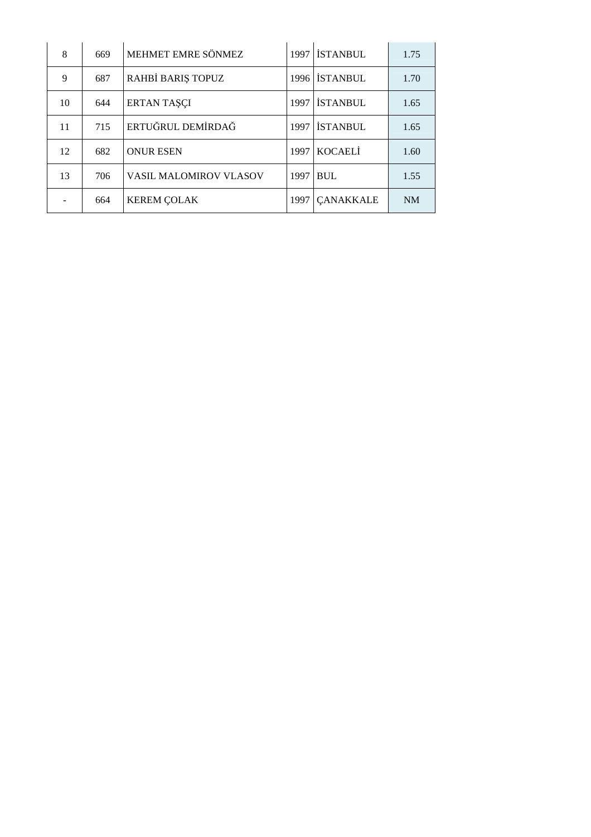| 8  | 669 | MEHMET EMRE SÖNMEZ            |      | 1997 ISTANBUL    | 1.75      |
|----|-----|-------------------------------|------|------------------|-----------|
| 9  | 687 | RAHBİ BARIŞ TOPUZ             | 1996 | <b>İSTANBUL</b>  | 1.70      |
| 10 | 644 | <b>ERTAN TAŞÇI</b>            | 1997 | <b>ISTANBUL</b>  | 1.65      |
| 11 | 715 | ERTUĞRUL DEMİRDAĞ             | 1997 | <b>İSTANBUL</b>  | 1.65      |
| 12 | 682 | <b>ONUR ESEN</b>              |      | 1997 KOCAELİ     | 1.60      |
| 13 | 706 | <b>VASIL MALOMIROV VLASOV</b> | 1997 | <b>BUL</b>       | 1.55      |
|    | 664 | <b>KEREM ÇOLAK</b>            | 1997 | <b>CANAKKALE</b> | <b>NM</b> |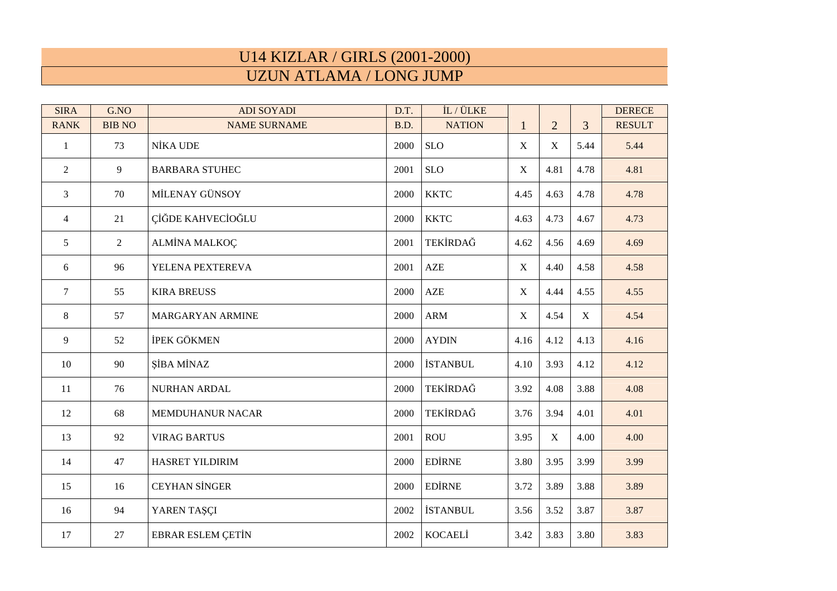#### U14 KIZLAR / GIRLS (2001-2000) UZUN ATLAMA / LONG JUMP

| <b>SIRA</b>    | G.NO           | <b>ADI SOYADI</b>        | D.T. | İL / ÜLKE       |              |                |      | <b>DERECE</b> |
|----------------|----------------|--------------------------|------|-----------------|--------------|----------------|------|---------------|
| <b>RANK</b>    | <b>BIB NO</b>  | <b>NAME SURNAME</b>      | B.D. | <b>NATION</b>   | $\mathbf{1}$ | $\overline{2}$ | 3    | <b>RESULT</b> |
| $\mathbf{1}$   | 73             | NİKA UDE                 | 2000 | <b>SLO</b>      | $\mathbf X$  | X              | 5.44 | 5.44          |
| $\overline{2}$ | 9              | <b>BARBARA STUHEC</b>    | 2001 | <b>SLO</b>      | $\mathbf X$  | 4.81           | 4.78 | 4.81          |
| 3              | 70             | MİLENAY GÜNSOY           | 2000 | <b>KKTC</b>     | 4.45         | 4.63           | 4.78 | 4.78          |
| 4              | 21             | ÇİĞDE KAHVECİOĞLU        | 2000 | <b>KKTC</b>     | 4.63         | 4.73           | 4.67 | 4.73          |
| 5              | $\overline{2}$ | ALMİNA MALKOÇ            | 2001 | TEKİRDAĞ        | 4.62         | 4.56           | 4.69 | 4.69          |
| 6              | 96             | YELENA PEXTEREVA         | 2001 | AZE             | X            | 4.40           | 4.58 | 4.58          |
| $\tau$         | 55             | <b>KIRA BREUSS</b>       | 2000 | AZE             | X            | 4.44           | 4.55 | 4.55          |
| 8              | 57             | MARGARYAN ARMINE         | 2000 | $\mathbf{ARM}$  | X            | 4.54           | X    | 4.54          |
| 9              | 52             | İPEK GÖKMEN              | 2000 | <b>AYDIN</b>    | 4.16         | 4.12           | 4.13 | 4.16          |
| 10             | 90             | <b>ŞİBA MİNAZ</b>        | 2000 | <b>İSTANBUL</b> | 4.10         | 3.93           | 4.12 | 4.12          |
| 11             | 76             | NURHAN ARDAL             | 2000 | TEKİRDAĞ        | 3.92         | 4.08           | 3.88 | 4.08          |
| 12             | 68             | <b>MEMDUHANUR NACAR</b>  | 2000 | TEKİRDAĞ        | 3.76         | 3.94           | 4.01 | 4.01          |
| 13             | 92             | <b>VIRAG BARTUS</b>      | 2001 | <b>ROU</b>      | 3.95         | X              | 4.00 | 4.00          |
| 14             | 47             | HASRET YILDIRIM          | 2000 | <b>EDİRNE</b>   | 3.80         | 3.95           | 3.99 | 3.99          |
| 15             | 16             | <b>CEYHAN SİNGER</b>     | 2000 | <b>EDİRNE</b>   | 3.72         | 3.89           | 3.88 | 3.89          |
| 16             | 94             | YAREN TAŞÇI              | 2002 | <b>İSTANBUL</b> | 3.56         | 3.52           | 3.87 | 3.87          |
| 17             | 27             | <b>EBRAR ESLEM ÇETİN</b> | 2002 | <b>KOCAELI</b>  | 3.42         | 3.83           | 3.80 | 3.83          |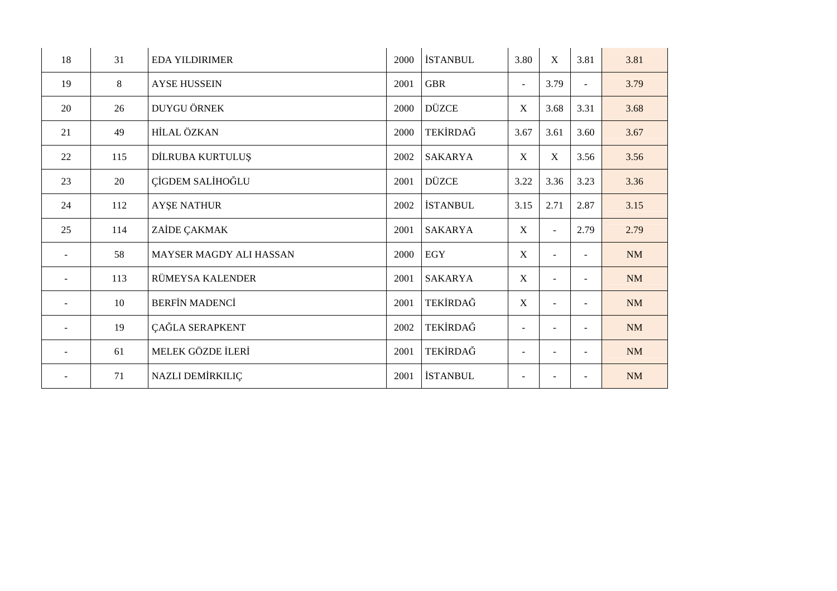| 18                       | 31  | <b>EDA YILDIRIMER</b>          | 2000 | <b>İSTANBUL</b> | 3.80                     | X                         | 3.81                     | 3.81      |
|--------------------------|-----|--------------------------------|------|-----------------|--------------------------|---------------------------|--------------------------|-----------|
| 19                       | 8   | <b>AYSE HUSSEIN</b>            | 2001 | <b>GBR</b>      | $\blacksquare$           | 3.79                      |                          | 3.79      |
| 20                       | 26  | DUYGU ÖRNEK                    | 2000 | <b>DÜZCE</b>    | $\mathbf X$              | 3.68                      | 3.31                     | 3.68      |
| 21                       | 49  | <b>HİLAL ÖZKAN</b>             | 2000 | TEKİRDAĞ        | 3.67                     | 3.61                      | 3.60                     | 3.67      |
| 22                       | 115 | DİLRUBA KURTULUŞ               | 2002 | <b>SAKARYA</b>  | X                        | $\boldsymbol{\mathrm{X}}$ | 3.56                     | 3.56      |
| 23                       | 20  | ÇİGDEM SALİHOĞLU               | 2001 | <b>DÜZCE</b>    | 3.22                     | 3.36                      | 3.23                     | 3.36      |
| 24                       | 112 | <b>AYSE NATHUR</b>             | 2002 | <b>İSTANBUL</b> | 3.15                     | 2.71                      | 2.87                     | 3.15      |
| 25                       | 114 | ZAİDE ÇAKMAK                   | 2001 | <b>SAKARYA</b>  | X                        |                           | 2.79                     | 2.79      |
| $\overline{\phantom{a}}$ | 58  | <b>MAYSER MAGDY ALI HASSAN</b> | 2000 | EGY             | $\mathbf X$              |                           | $\overline{\phantom{a}}$ | NM        |
| $\blacksquare$           | 113 | RÜMEYSA KALENDER               | 2001 | <b>SAKARYA</b>  | X                        |                           | $\overline{\phantom{a}}$ | <b>NM</b> |
| $\blacksquare$           | 10  | <b>BERFİN MADENCİ</b>          | 2001 | TEKİRDAĞ        | $\mathbf X$              | ÷.                        | $\overline{a}$           | <b>NM</b> |
| $\overline{\phantom{a}}$ | 19  | ÇAĞLA SERAPKENT                | 2002 | TEKİRDAĞ        | $\blacksquare$           |                           |                          | <b>NM</b> |
|                          | 61  | MELEK GÖZDE İLERİ              | 2001 | TEKİRDAĞ        | $\overline{\phantom{a}}$ |                           |                          | <b>NM</b> |
| $\sim$                   | 71  | NAZLI DEMİRKILIÇ               | 2001 | <b>İSTANBUL</b> | $\blacksquare$           |                           |                          | <b>NM</b> |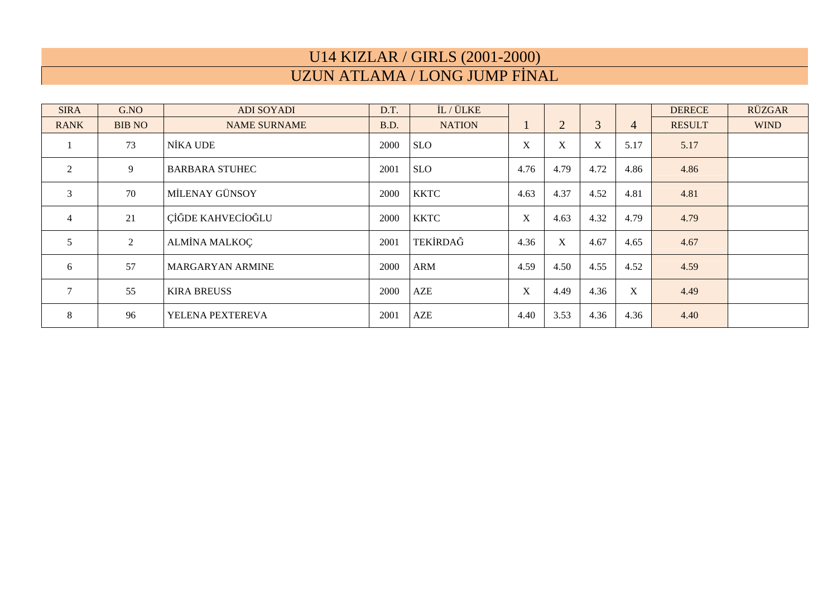# U14 KIZLAR / GIRLS (2001-2000) UZUN ATLAMA / LONG JUMP FİNAL

| <b>SIRA</b>    | G.NO          | <b>ADI SOYADI</b>       | D.T. | IL / ÜLKE     |             |                |                  |                | <b>DERECE</b> | RÜZGAR      |
|----------------|---------------|-------------------------|------|---------------|-------------|----------------|------------------|----------------|---------------|-------------|
| <b>RANK</b>    | <b>BIB NO</b> | <b>NAME SURNAME</b>     | B.D. | <b>NATION</b> | $\perp$     | $\overline{2}$ | 3                | $\overline{4}$ | <b>RESULT</b> | <b>WIND</b> |
|                | 73            | NİKA UDE                | 2000 | <b>SLO</b>    | X           | X              | $\boldsymbol{X}$ | 5.17           | 5.17          |             |
| 2              | 9             | <b>BARBARA STUHEC</b>   | 2001 | <b>SLO</b>    | 4.76        | 4.79           | 4.72             | 4.86           | 4.86          |             |
| 3              | 70            | MİLENAY GÜNSOY          | 2000 | <b>KKTC</b>   | 4.63        | 4.37           | 4.52             | 4.81           | 4.81          |             |
| $\overline{4}$ | 21            | CİĞDE KAHVECİOĞLU       | 2000 | <b>KKTC</b>   | X           | 4.63           | 4.32             | 4.79           | 4.79          |             |
| 5              | 2             | <b>ALMİNA MALKOÇ</b>    | 2001 | TEKİRDAĞ      | 4.36        | X              | 4.67             | 4.65           | 4.67          |             |
| 6              | 57            | <b>MARGARYAN ARMINE</b> | 2000 | ARM           | 4.59        | 4.50           | 4.55             | 4.52           | 4.59          |             |
| $\tau$         | 55            | <b>KIRA BREUSS</b>      | 2000 | AZE           | $\mathbf X$ | 4.49           | 4.36             | X              | 4.49          |             |
| 8              | 96            | YELENA PEXTEREVA        | 2001 | AZE           | 4.40        | 3.53           | 4.36             | 4.36           | 4.40          |             |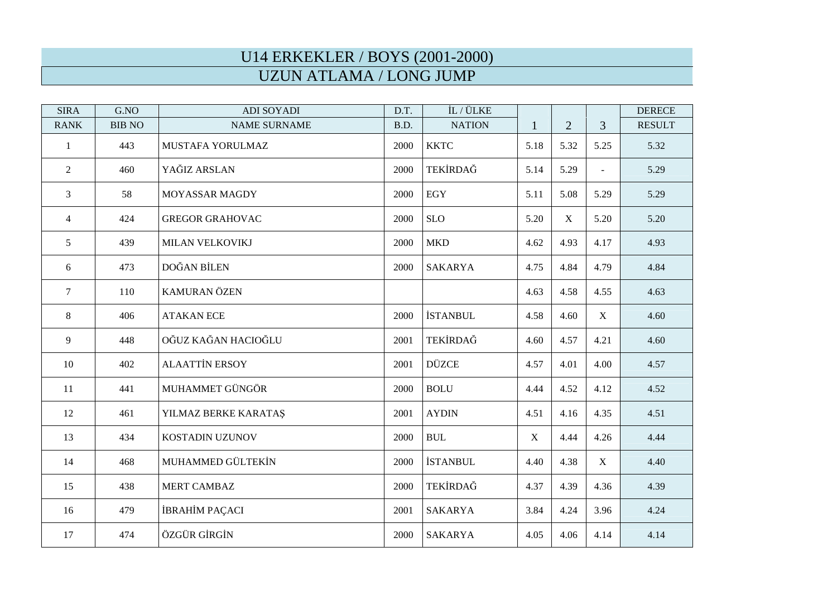# U14 ERKEKLER / BOYS (2001-2000) UZUN ATLAMA / LONG JUMP

| <b>SIRA</b>    | G.NO          | <b>ADI SOYADI</b>      | D.T. | IL / ÜLKE       |              |                |             | <b>DERECE</b> |
|----------------|---------------|------------------------|------|-----------------|--------------|----------------|-------------|---------------|
| <b>RANK</b>    | <b>BIB NO</b> | <b>NAME SURNAME</b>    | B.D. | <b>NATION</b>   | $\mathbf{1}$ | $\overline{2}$ | 3           | <b>RESULT</b> |
| $\mathbf{1}$   | 443           | MUSTAFA YORULMAZ       | 2000 | <b>KKTC</b>     | 5.18         | 5.32           | 5.25        | 5.32          |
| $\overline{2}$ | 460           | YAĞIZ ARSLAN           | 2000 | TEKİRDAĞ        | 5.14         | 5.29           |             | 5.29          |
| 3              | 58            | MOYASSAR MAGDY         | 2000 | <b>EGY</b>      | 5.11         | 5.08           | 5.29        | 5.29          |
| $\overline{4}$ | 424           | <b>GREGOR GRAHOVAC</b> | 2000 | <b>SLO</b>      | 5.20         | X              | 5.20        | 5.20          |
| 5              | 439           | <b>MILAN VELKOVIKJ</b> | 2000 | <b>MKD</b>      | 4.62         | 4.93           | 4.17        | 4.93          |
| 6              | 473           | DOĞAN BİLEN            | 2000 | <b>SAKARYA</b>  | 4.75         | 4.84           | 4.79        | 4.84          |
| $\tau$         | 110           | <b>KAMURAN ÖZEN</b>    |      |                 | 4.63         | 4.58           | 4.55        | 4.63          |
| 8              | 406           | <b>ATAKAN ECE</b>      | 2000 | <b>İSTANBUL</b> | 4.58         | 4.60           | $\mathbf X$ | 4.60          |
| 9              | 448           | OĞUZ KAĞAN HACIOĞLU    | 2001 | TEKİRDAĞ        | 4.60         | 4.57           | 4.21        | 4.60          |
| 10             | 402           | <b>ALAATTİN ERSOY</b>  | 2001 | <b>DÜZCE</b>    | 4.57         | 4.01           | 4.00        | 4.57          |
| 11             | 441           | MUHAMMET GÜNGÖR        | 2000 | <b>BOLU</b>     | 4.44         | 4.52           | 4.12        | 4.52          |
| 12             | 461           | YILMAZ BERKE KARATAŞ   | 2001 | <b>AYDIN</b>    | 4.51         | 4.16           | 4.35        | 4.51          |
| 13             | 434           | KOSTADIN UZUNOV        | 2000 | <b>BUL</b>      | X            | 4.44           | 4.26        | 4.44          |
| 14             | 468           | MUHAMMED GÜLTEKİN      | 2000 | <b>İSTANBUL</b> | 4.40         | 4.38           | X           | 4.40          |
| 15             | 438           | <b>MERT CAMBAZ</b>     | 2000 | TEKİRDAĞ        | 4.37         | 4.39           | 4.36        | 4.39          |
| 16             | 479           | İBRAHİM PAÇACI         | 2001 | <b>SAKARYA</b>  | 3.84         | 4.24           | 3.96        | 4.24          |
| 17             | 474           | ÖZGÜR GİRGİN           | 2000 | <b>SAKARYA</b>  | 4.05         | 4.06           | 4.14        | 4.14          |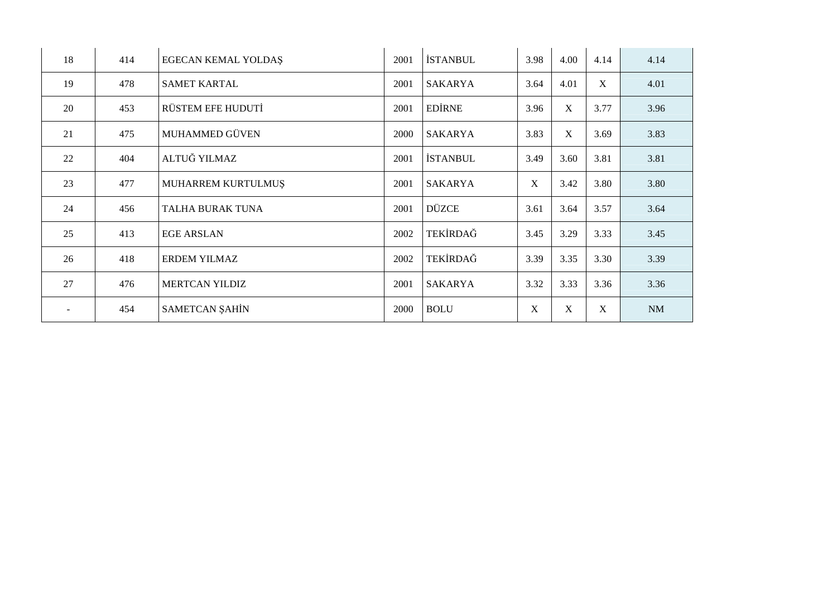| 18     | 414 | <b>EGECAN KEMAL YOLDAS</b> | 2001 | <b>İSTANBUL</b> | 3.98        | 4.00        | 4.14        | 4.14 |
|--------|-----|----------------------------|------|-----------------|-------------|-------------|-------------|------|
| 19     | 478 | <b>SAMET KARTAL</b>        | 2001 | SAKARYA         | 3.64        | 4.01        | X           | 4.01 |
| 20     | 453 | RÜSTEM EFE HUDUTİ          | 2001 | <b>EDIRNE</b>   | 3.96        | X           | 3.77        | 3.96 |
| 21     | 475 | MUHAMMED GÜVEN             | 2000 | SAKARYA         | 3.83        | $\mathbf X$ | 3.69        | 3.83 |
| 22     | 404 | ALTUĞ YILMAZ               | 2001 | <b>İSTANBUL</b> | 3.49        | 3.60        | 3.81        | 3.81 |
| 23     | 477 | MUHARREM KURTULMUŞ         | 2001 | SAKARYA         | $\mathbf X$ | 3.42        | 3.80        | 3.80 |
| 24     | 456 | TALHA BURAK TUNA           | 2001 | <b>DÜZCE</b>    | 3.61        | 3.64        | 3.57        | 3.64 |
| 25     | 413 | <b>EGE ARSLAN</b>          | 2002 | TEKİRDAĞ        | 3.45        | 3.29        | 3.33        | 3.45 |
| 26     | 418 | <b>ERDEM YILMAZ</b>        | 2002 | TEKİRDAĞ        | 3.39        | 3.35        | 3.30        | 3.39 |
| 27     | 476 | <b>MERTCAN YILDIZ</b>      | 2001 | <b>SAKARYA</b>  | 3.32        | 3.33        | 3.36        | 3.36 |
| $\sim$ | 454 | <b>SAMETCAN ŞAHİN</b>      | 2000 | <b>BOLU</b>     | $\mathbf X$ | $\mathbf X$ | $\mathbf X$ | NM   |
|        |     |                            |      |                 |             |             |             |      |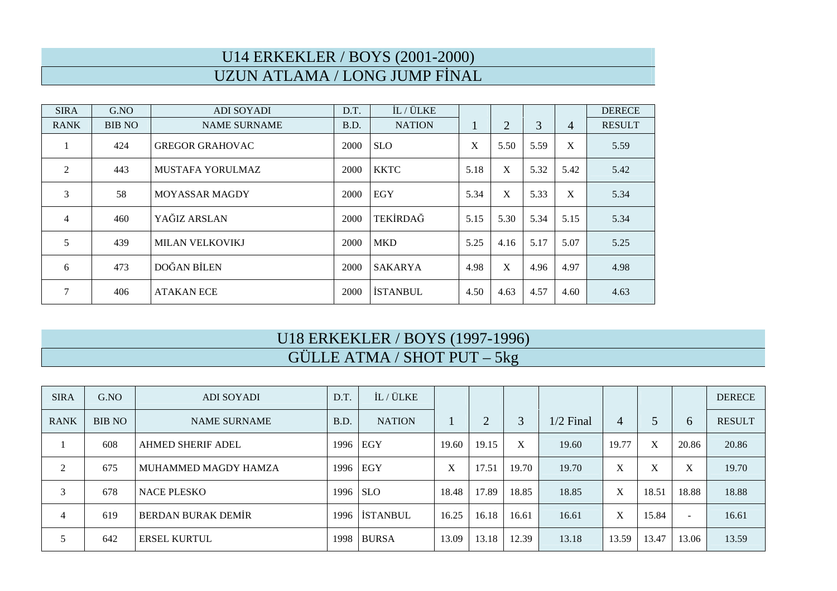# U14 ERKEKLER / BOYS (2001-2000) UZUN ATLAMA / LONG JUMP FİNAL

| <b>SIRA</b>    | G.NO          | <b>ADI SOYADI</b>       | D.T. | IL / ÜLKE       |              |                |      |                | <b>DERECE</b> |
|----------------|---------------|-------------------------|------|-----------------|--------------|----------------|------|----------------|---------------|
| <b>RANK</b>    | <b>BIB NO</b> | <b>NAME SURNAME</b>     | B.D. | <b>NATION</b>   | $\mathbf{I}$ | $\overline{2}$ | 3    | $\overline{4}$ | <b>RESULT</b> |
|                | 424           | <b>GREGOR GRAHOVAC</b>  | 2000 | <b>SLO</b>      | X            | 5.50           | 5.59 | X              | 5.59          |
| $\overline{2}$ | 443           | <b>MUSTAFA YORULMAZ</b> | 2000 | <b>KKTC</b>     | 5.18         | X              | 5.32 | 5.42           | 5.42          |
| 3              | 58            | <b>MOYASSAR MAGDY</b>   | 2000 | EGY             | 5.34         | X              | 5.33 | X              | 5.34          |
| $\overline{4}$ | 460           | YAĞIZ ARSLAN            | 2000 | TEKİRDAĞ        | 5.15         | 5.30           | 5.34 | 5.15           | 5.34          |
| 5              | 439           | <b>MILAN VELKOVIKJ</b>  | 2000 | <b>MKD</b>      | 5.25         | 4.16           | 5.17 | 5.07           | 5.25          |
| 6              | 473           | DOĞAN BİLEN             | 2000 | <b>SAKARYA</b>  | 4.98         | X              | 4.96 | 4.97           | 4.98          |
| $\overline{7}$ | 406           | <b>ATAKAN ECE</b>       | 2000 | <b>İSTANBUL</b> | 4.50         | 4.63           | 4.57 | 4.60           | 4.63          |

#### U18 ERKEKLER / BOYS (1997-1996) GÜLLE ATMA / SHOT PUT – 5kg

| <b>SIRA</b> | G.NO          | <b>ADI SOYADI</b>    | D.T.       | IL / ÜLKE       |       |       |       |             |       |       |                          | <b>DERECE</b> |
|-------------|---------------|----------------------|------------|-----------------|-------|-------|-------|-------------|-------|-------|--------------------------|---------------|
| <b>RANK</b> | <b>BIB NO</b> | <b>NAME SURNAME</b>  | B.D.       | <b>NATION</b>   |       | ◠     | 3     | $1/2$ Final | 4     |       | 6                        | <b>RESULT</b> |
|             | 608           | AHMED SHERIF ADEL    | 1996 EGY   |                 | 19.60 | 19.15 | X     | 19.60       | 19.77 | X     | 20.86                    | 20.86         |
| 2           | 675           | MUHAMMED MAGDY HAMZA | 1996 EGY   |                 | X     | 17.51 | 19.70 | 19.70       | X     | X     | X                        | 19.70         |
| 3           | 678           | <b>NACE PLESKO</b>   | $1996$ SLO |                 | 18.48 | 17.89 | 18.85 | 18.85       | X     | 18.51 | 18.88                    | 18.88         |
| 4           | 619           | BERDAN BURAK DEMİR   | 1996       | <b>ISTANBUL</b> | 16.25 | 16.18 | 16.61 | 16.61       | X     | 15.84 | $\overline{\phantom{a}}$ | 16.61         |
|             | 642           | <b>ERSEL KURTUL</b>  | 1998       | <b>BURSA</b>    | 13.09 | 13.18 | 12.39 | 13.18       | 13.59 | 13.47 | 13.06                    | 13.59         |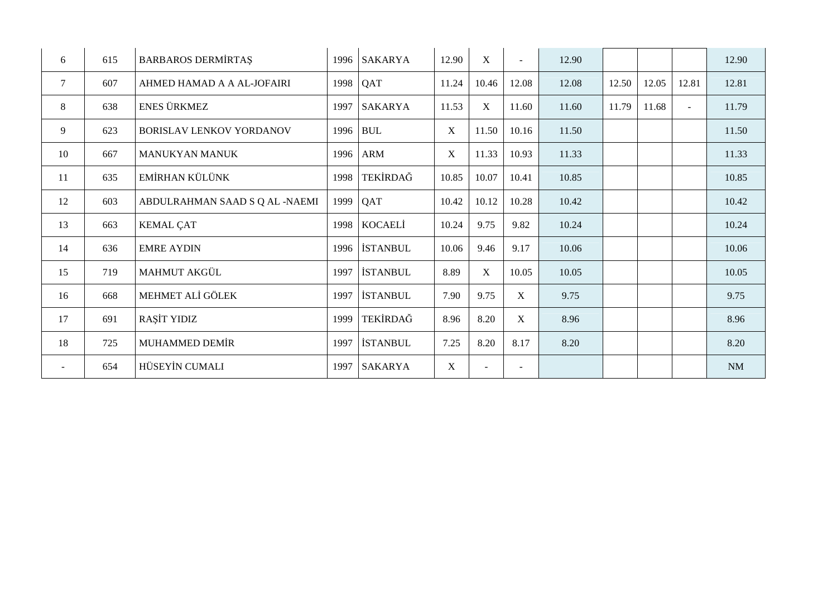| 6      | 615 | <b>BARBAROS DERMÍRTAS</b>       | 1996 | <b>SAKARYA</b>  | 12.90            | X           |             | 12.90 |       |       |        | 12.90 |
|--------|-----|---------------------------------|------|-----------------|------------------|-------------|-------------|-------|-------|-------|--------|-------|
| $\tau$ | 607 | AHMED HAMAD A A AL-JOFAIRI      |      | 1998 QAT        | 11.24            | 10.46       | 12.08       | 12.08 | 12.50 | 12.05 | 12.81  | 12.81 |
| 8      | 638 | <b>ENES ÜRKMEZ</b>              | 1997 | SAKARYA         | 11.53            | $\mathbf X$ | 11.60       | 11.60 | 11.79 | 11.68 | $\sim$ | 11.79 |
| 9      | 623 | <b>BORISLAV LENKOV YORDANOV</b> |      | 1996 BUL        | $\boldsymbol{X}$ | 11.50       | 10.16       | 11.50 |       |       |        | 11.50 |
| 10     | 667 | <b>MANUKYAN MANUK</b>           | 1996 | <b>ARM</b>      | $\mathbf X$      | 11.33       | 10.93       | 11.33 |       |       |        | 11.33 |
| 11     | 635 | EMİRHAN KÜLÜNK                  | 1998 | TEKİRDAĞ        | 10.85            | 10.07       | 10.41       | 10.85 |       |       |        | 10.85 |
| 12     | 603 | ABDULRAHMAN SAAD S Q AL -NAEMI  | 1999 | QAT             | 10.42            | 10.12       | 10.28       | 10.42 |       |       |        | 10.42 |
| 13     | 663 | <b>KEMAL ÇAT</b>                | 1998 | KOCAELİ         | 10.24            | 9.75        | 9.82        | 10.24 |       |       |        | 10.24 |
| 14     | 636 | <b>EMRE AYDIN</b>               | 1996 | <b>İSTANBUL</b> | 10.06            | 9.46        | 9.17        | 10.06 |       |       |        | 10.06 |
| 15     | 719 | <b>MAHMUT AKGÜL</b>             | 1997 | <b>İSTANBUL</b> | 8.89             | $\mathbf X$ | 10.05       | 10.05 |       |       |        | 10.05 |
| 16     | 668 | MEHMET ALİ GÖLEK                | 1997 | <b>İSTANBUL</b> | 7.90             | 9.75        | X           | 9.75  |       |       |        | 9.75  |
| 17     | 691 | RAŞİT YIDIZ                     | 1999 | TEKİRDAĞ        | 8.96             | 8.20        | $\mathbf X$ | 8.96  |       |       |        | 8.96  |
| 18     | 725 | MUHAMMED DEMİR                  | 1997 | <b>İSTANBUL</b> | 7.25             | 8.20        | 8.17        | 8.20  |       |       |        | 8.20  |
| $\sim$ | 654 | HÜSEYİN CUMALI                  | 1997 | <b>SAKARYA</b>  | $\mathbf X$      | ÷,          |             |       |       |       |        | NM    |